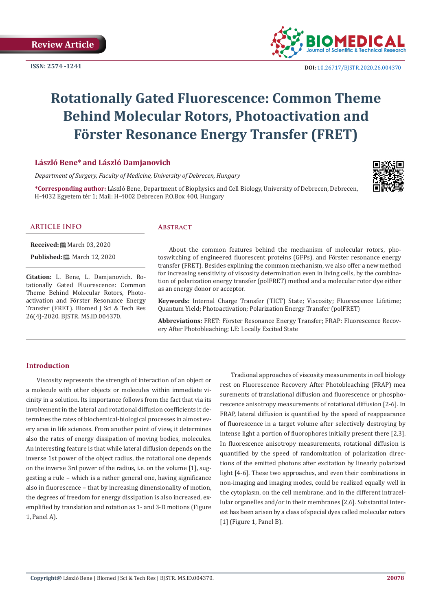**ISSN: 2574 -1241**



# **Rotationally Gated Fluorescence: Common Theme Behind Molecular Rotors, Photoactivation and Förster Resonance Energy Transfer (FRET)**

# **László Bene\* and László Damjanovich**

*Department of Surgery, Faculty of Medicine, University of Debrecen, Hungary*

**\*Corresponding author:** László Bene, Department of Biophysics and Cell Biology, University of Debrecen, Debrecen, H-4032 Egyetem tér 1; Mail: H-4002 Debrecen P.O.Box 400, Hungary



### **ARTICLE INFO Abstract**

**Received:** March 03, 2020

**Published:** ■ March 12, 2020

**Citation:** L. Bene, L. Damjanovich. Rotationally Gated Fluorescence: Common Theme Behind Molecular Rotors, Photoactivation and Förster Resonance Energy Transfer (FRET). Biomed J Sci & Tech Res 26(4)-2020. BJSTR. MS.ID.004370.

About the common features behind the mechanism of molecular rotors, photoswitching of engineered fluorescent proteins (GFPs), and Förster resonance energy transfer (FRET). Besides explining the common mechanism, we also offer a new method for increasing sensitivity of viscosity determination even in living cells, by the combination of polarization energy transfer (polFRET) method and a molecular rotor dye either as an energy donor or acceptor.

**Keywords:** Internal Charge Transfer (TICT) State; Viscosity; Fluorescence Lifetime; Quantum Yield; Photoactivation; Polarization Energy Transfer (polFRET)

**Abbreviations:** FRET: Förster Resonance Energy Transfer; FRAP: Fluorescence Recovery After Photobleaching; LE: Locally Excited State

#### **Introduction**

Viscosity represents the strength of interaction of an object or a molecule with other objects or molecules within immediate vicinity in a solution. Its importance follows from the fact that via its involvement in the lateral and rotational diffusion coefficients it determines the rates of biochemical-biological processes in almost every area in life sciences. From another point of view, it determines also the rates of energy dissipation of moving bodies, molecules. An interesting feature is that while lateral diffusion depends on the inverse 1st power of the object radius, the rotational one depends on the inverse 3rd power of the radius, i.e. on the volume [1], suggesting a rule – which is a rather general one, having significance also in fluorescence – that by increasing dimensionality of motion, the degrees of freedom for energy dissipation is also increased, exemplified by translation and rotation as 1- and 3-D motions (Figure 1, Panel A).

Tradional approaches of viscosity measurements in cell biology rest on Fluorescence Recovery After Photobleaching (FRAP) mea surements of translational diffusion and fluorescence or phosphorescence anisotropy measurements of rotational diffusion [2-6]. In FRAP, lateral diffusion is quantified by the speed of reappearance of fluorescence in a target volume after selectively destroying by intense light a portion of fluorophores initially present there [2,3]. In fluorescence anisotropy measurements, rotational diffusion is quantified by the speed of randomization of polarization directions of the emitted photons after excitation by linearly polarized light [4-6]. These two approaches, and even their combinations in non-imaging and imaging modes, could be realized equally well in the cytoplasm, on the cell membrane, and in the different intracellular organelles and/or in their membranes [2,6]. Substantial interest has been arisen by a class of special dyes called molecular rotors [1] (Figure 1, Panel B).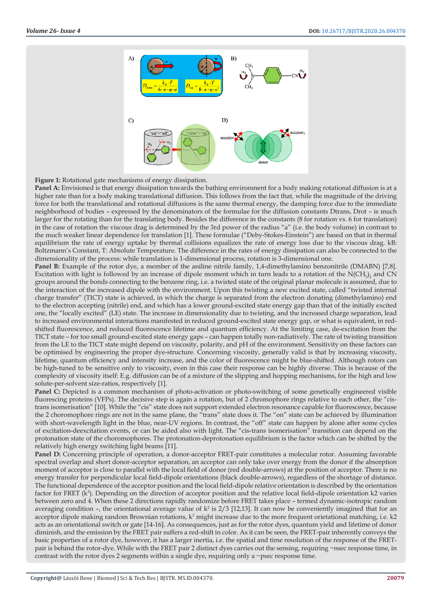



**Panel A:** Envisioned is that energy dissipation towards the bathing environment for a body making rotational diffusion is at a higher rate than for a body making translational diffusion. This follows from the fact that, while the magnitude of the driving force for both the translational and rotational diffusions is the same thermal energy, the damping force due to the immediate neighborhood of bodies – expressed by the denominators of the formulae for the diffusion constants Dtrans, Drot – is much larger for the rotating than for the translating body. Besides the difference in the constants (8 for rotation vs. 6 for translation) in the case of rotation the viscous drag is determined by the 3rd power of the radius "a" (i.e. the body volume) in contrast to the much weaker linear dependence for translation [1]. These formulae ("Deby-Stokes-Einstein") are based on that in thermal equilibrium the rate of energy uptake by thermal collisions equalizes the rate of energy loss due to the viscous drag. kB: Boltzmann's Constant, T: Absolute Temperature. The difference in the rates of energy dissipation can also be connected to the dimensionality of the process: while translation is 1-dimensional process, rotation is 3-dimensional one.

**Panel B:** Example of the rotor dye, a member of the aniline nitrile family, 1,4-dimethylamino benzonitrile (DMABN) [7,8]. Excitation with light is followed by an increase of dipole moment which in turn leads to a rotation of the N(CH<sub>3</sub>)<sub>2</sub> and CN groups around the bonds connecting to the benzene ring, i.e. a twisted state of the original planar molecule is assumed, due to the interaction of the increased dipole with the environment. Upon this twisting a new excited state, called "twisted internal charge transfer" (TICT) state is achieved, in which the charge is separated from the electron donating (dimethylamino) end to the electron accepting (nitrile) end, and which has a lower ground-excited state energy gap than that of the initially excited one, the "locally excited" (LE) state. The increase in dimensionality due to twisting, and the increased charge separation, lead to increased environmental interactions manifested in reduced ground-excited state energy gap, or what is equivalent, in redshifted fluorescence, and reduced fluorescence lifetime and quantum efficiency. At the limiting case, de-excitation from the TICT state – for too small ground-excited state energy gaps – can happen totally non-radiatively. The rate of twisting transition from the LE to the TICT state might depend on viscosity, polarity, and pH of the environment. Sensitivity on these factors can be optimised by engineering the proper dye-structure. Concerning viscosity, generally valid is that by increasing viscosity, lifetime, quantum efficiency and intensity increase, and the color of fluorescence might be blue-shifted. Although rotors can be high-tuned to be sensitive only to viscosity, even in this case their response can be highly diverse. This is because of the complexity of viscosity itself: E.g. diffusion can be of a mixture of the slipping and hopping mechanisms, for the high and low solute-per-solvent size-ratios, respectively [1].

Panel C: Depicted is a common mechanism of photo-activation or photo-switching of some genetically engineered visible fluorescing proteins (VFPs). The decisive step is again a rotation, but of 2 chromophore rings relative to each other, the "cistrans isomerisation" [10]. While the "cis" state does not support extended electron resonance capable for fluorescence, because the 2 choromophore rings are not in the same plane, the "trans" state does it. The "on" state can be achieved by illumination with short-wavelength light in the blue, near-UV regions. In contrast, the "off" state can happen by alone after some cycles of excitation-deexcitation events, or can be aided also with light. The "cis-trans isomerisation" transition can depend on the protonation state of the choromophores. The protonation-deprotonation equilibrium is the factor which can be shifted by the relatively high energy switching light beams [11].

Panel D: Concerning principle of operation, a donor-acceptor FRET-pair constitutes a molecular rotor. Assuming favorable spectral overlap and short donor-acceptor separation, an acceptor can only take over energy from the donor if the absorption moment of acceptor is close to parallel with the local field of donor (red double-arrows) at the position of acceptor. There is no energy transfer for perpendicular local field-dipole orientations (black double-arrows), regardless of the shortage of distance. The functional dependence of the acceptor position and the local field-dipole relative orientation is described by the orientation factor for FRET (k<sup>2</sup>). Depending on the direction of acceptor position and the relative local field-dipole orientation k2 varies between zero and 4. When these 2 directions rapidly randomize before FRET takes place – termed dynamic-isotropic random averaging condition –, the orientational average value of  $k^2$  is  $2/3$  [12,13]. It can now be conveniently imagined that for an acceptor dipole making random Brownian rotations,  $k^2$  might increase due to the more frequent orietational matching, i.e.  $k^2$ acts as an orientational switch or gate [14-16]. As consequences, just as for the rotor dyes, quantum yield and lifetime of donor diminish, and the emission by the FRET pair suffers a red-shift in color. As it can be seen, the FRET-pair inherently conveys the basic properties of a rotor dye, however, it has a larger inertia, i.e. the spatial and time resolution of the response of the FRETpair is behind the rotor-dye. While with the FRET pair 2 distinct dyes carries out the sensing, requiring ~nsec response time, in contrast with the rotor dyes 2 segments within a single dye, requiring only a  $\sim$ psec response time.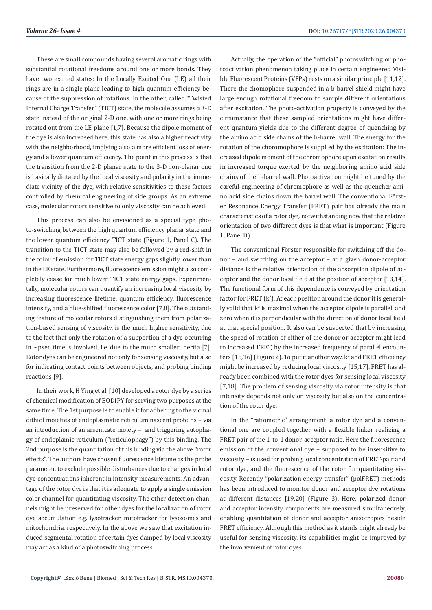These are small compounds having several aromatic rings with substantial rotational freedoms around one or more bonds. They have two excited states: In the Locally Excited One (LE) all their rings are in a single plane leading to high quantum efficiency because of the suppression of rotations. In the other, called "Twisted Internal Charge Transfer" (TICT) state, the molecule assumes a 3-D state instead of the original 2-D one, with one or more rings being rotated out from the LE plane [1,7]. Because the dipole moment of the dye is also increased here, this state has also a higher reactivity with the neighborhood, implying also a more efficient loss of energy and a lower quantum efficiency. The point in this process is that the transition from the 2-D planar state to the 3-D non-planar one is basically dictated by the local viscosity and polarity in the immediate vicinity of the dye, with relative sensitivities to these factors controlled by chemical engineering of side groups. As an extreme case, molecular rotors sensitive to only viscosity can be achieved.

This process can also be envisioned as a special type photo-switching between the high quantum efficiency planar state and the lower quantum efficiency TICT state (Figure 1, Panel C). The transition to the TICT state may also be followed by a red-shift in the color of emission for TICT state energy gaps slightly lower than in the LE state. Furthermore, fluorescence emission might also completely cease for much lower TICT state energy gaps. Experimentally, molecular rotors can quantify an increasing local viscosity by increasing fluorescence lifetime, quantum efficiency, fluorescence intensity, and a blue-shifted fluorescence color [7,8]. The outstanding feature of molecular rotors distinguishing them from polarization-based sensing of viscosity, is the much higher sensitivity, due to the fact that only the rotation of a subportion of a dye occurring in  $\sim$ psec time is involved, i.e. due to the much smaller inertia [7]. Rotor dyes can be engineered not only for sensing viscosity, but also for indicating contact points between objects, and probing binding reactions [9].

In their work, H Ying et al. [10] developed a rotor dye by a series of chemical modification of BODIPY for serving two purposes at the same time: The 1st purpose is to enable it for adhering to the vicinal dithiol moieties of endoplasmatic reticulum nascent proteins – via an introduction of an arsenicate moiety – and triggering autophagy of endoplamic reticulum ("reticulophagy") by this binding. The 2nd purpose is the quantitation of this binding via the above "rotor effects". The authors have chosen fluorescence lifetime as the probe parameter, to exclude possible disturbances due to changes in local dye concentrations inherent in intensity measurements. An advantage of the rotor dye is that it is adequate to apply a single emission color channel for quantitating viscosity. The other detection channels might be preserved for other dyes for the localization of rotor dye accumulation e.g. lysotracker, mitotracker for lysosomes and mitochondria, respectively. In the above we saw that excitation induced segmental rotation of certain dyes damped by local viscosity may act as a kind of a photoswitching process.

Actually, the operation of the "official" photoswitching or photoactivation phenomenon taking place in certain engineered Visible Fluorescent Proteins (VFPs) rests on a similar principle [11,12]. There the chomophore suspended in a b-barrel shield might have large enough rotational freedom to sample different orientations after excitation. The photo-activation property is conveyed by the circumstance that these sampled orientations might have different quantum yields due to the different degree of quenching by the amino acid side chains of the b-barrel wall. The energy for the rotation of the choromophore is supplied by the excitation: The increased dipole moment of the chromophore upon excitation results in increased torque exerted by the neighboring amino acid side chains of the b-barrel wall. Photoactivation might be tuned by the careful engineering of chromophore as well as the quencher amino acid side chains down the barrel wall. The conventional Förster Resonance Energy Transfer (FRET) pair has already the main characteristics of a rotor dye, notwithstanding now that the relative orientation of two different dyes is that what is important (Figure 1, Panel D).

The conventional Förster responsible for switching off the donor – and switching on the acceptor – at a given donor-acceptor distance is the relative orientation of the absorption dipole of acceptor and the donor local field at the position of acceptor [13,14]. The functional form of this dependence is conveyed by orientation factor for  $\text{FRET}{}$   $(\text{k}^2)$ . At each position around the donor it is generally valid that  $k^2$  is maximal when the acceptor dipole is parallel, and zero when it is perpendicular with the direction of donor local field at that special position. It also can be suspected that by increasing the speed of rotation of either of the donor or acceptor might lead to increased FRET, by the increased frequency of parallel encounters  $[15, 16]$  (Figure 2). To put it another way,  $k^2$  and FRET efficiency might be increased by reducing local viscosity [15,17]. FRET has already been combined with the rotor dyes for sensing local viscosity [7,18]. The problem of sensing viscosity via rotor intensity is that intensity depends not only on viscosity but also on the concentration of the rotor dye.

In the "ratiometric" arrangement, a rotor dye and a conventional one are coupled together with a flexible linker realizing a FRET-pair of the 1-to-1 donor-acceptor ratio. Here the fluorescence emission of the conventional dye – supposed to be insensitive to viscosity – is used for probing local concentration of FRET-pair and rotor dye, and the fluorescence of the rotor for quantitating viscosity. Recently "polarization energy transfer" (polFRET) methods has been introduced to monitor donor and acceptor dye rotations at different distances [19,20] (Figure 3). Here, polarized donor and acceptor intensity components are measured simultaneously, enabling quantitation of donor and acceptor anisotropies beside FRET efficiency. Although this method as it stands might already be useful for sensing viscosity, its capabilities might be improved by the involvement of rotor dyes: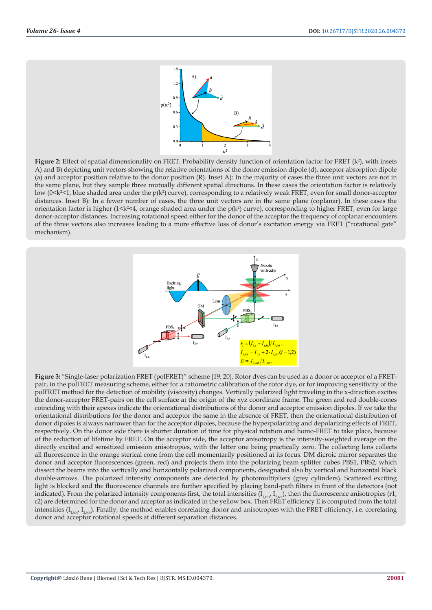

**Figure 2:** Effect of spatial dimensionality on FRET. Probability density function of orientation factor for FRET  $(k^2)$ , with insets A) and B) depicting unit vectors showing the relative orientations of the donor emission dipole (d), acceptor absorption dipole (a) and acceptor position relative to the donor position (R). Inset A): In the majority of cases the three unit vectors are not in the same plane, but they sample three mutually different spatial directions. In these cases the orientation factor is relatively low (0<k<sup>2</sup><1, blue shaded area under the p(k<sup>2</sup>) curve), corresponding to a relatively weak FRET, even for small donor-acceptor distances. Inset B): In a fewer number of cases, the three unit vectors are in the same plane (coplanar). In these cases the orientation factor is higher ( $1 \le k \le 4$ , orange shaded area under the  $p(k^2)$  curve), corresponding to higher FRET, even for large donor-acceptor distances. Increasing rotational speed either for the donor of the acceptor the frequency of coplanar encounters of the three vectors also increases leading to a more effective loss of donor's excitation energy via FRET ("rotational gate" mechanism).



**Figure 3:** "Single-laser polarization FRET (polFRET)" scheme [19, 20]. Rotor dyes can be used as a donor or acceptor of a FRETpair, in the polFRET measuring scheme, either for a ratiometric calibration of the rotor dye, or for improving sensitivity of the polFRET method for the detection of mobility (viscosity) changes. Vertically polarized light traveling in the x-direction excites the donor-acceptor FRET-pairs on the cell surface at the origin of the xyz coordinate frame. The green and red double-cones coinciding with their apexes indicate the orientational distributions of the donor and acceptor emission dipoles. If we take the orientational distributions for the donor and acceptor the same in the absence of FRET, then the orientational distribution of donor dipoles is always narrower than for the acceptor dipoles, because the hyperpolarizing and depolarizing effects of FRET, respectively. On the donor side there is shorter duration of time for physical rotation and homo-FRET to take place, because of the reduction of lifetime by FRET. On the acceptor side, the acceptor anisotropy is the intensity-weighted average on the directly excited and sensitized emission anisotropies, with the latter one being practically zero. The collecting lens collects all fluorescence in the orange sterical cone from the cell momentarily positioned at its focus. DM dicroic mirror separates the donor and acceptor fluorescences (green, red) and projects them into the polarizing beam splitter cubes PBS1, PBS2, which dissect the beams into the vertically and horizontally polarized components, designated also by vertical and horizontal black double-arrows. The polarized intensity components are detected by photomultipliers (grey cylinders). Scattered exciting light is blocked and the fluorescence channels are further specified by placing band-path filters in front of the detectors (not indicated). From the polarized intensity components first, the total intensities  $(I_{1,tof'} I_{2,tof})$ , then the fluorescence anisotropies (r1, r2) are determined for the donor and acceptor as indicated in the yellow box. Then FRET efficiency E is computed from the total intensities  $(I_{1\text{tot}}I_{2\text{tot}})$ . Finally, the method enables correlating donor and anisotropies with the FRET efficiency, i.e. correlating donor and acceptor rotational speeds at different separation distances.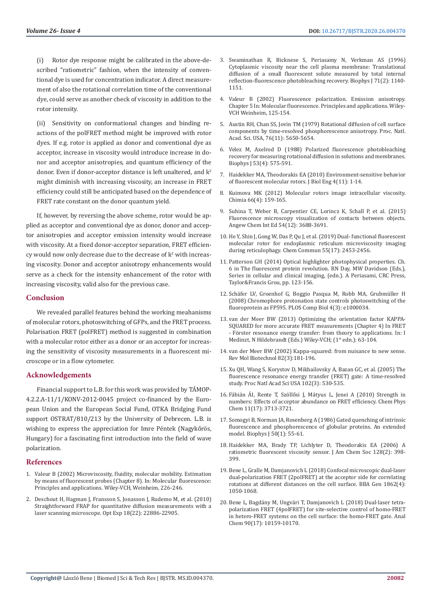(i) Rotor dye response might be calibrated in the above-described "ratiometric" fashion, when the intensity of conventional dye is used for concentration indicator. A direct measurement of also the rotational correlation time of the conventional dye, could serve as another check of viscosity in addition to the rotor intensity.

(ii) Sensitivity on conformational changes and binding reactions of the polFRET method might be improved with rotor dyes. If e.g. rotor is applied as donor and conventional dye as acceptor, increase in viscosity would introduce increase in donor and acceptor anisotropies, and quantum efficiency of the donor. Even if donor-acceptor distance is left unaltered, and  $k^2$ might diminish with increasing viscosity, an increase in FRET efficiency could still be anticipated based on the dependence of FRET rate constant on the donor quantum yield.

If, however, by reversing the above scheme, rotor would be applied as acceptor and conventional dye as donor, donor and acceptor anisotropies and acceptor emission intensity would increase with viscosity. At a fixed donor-acceptor separation, FRET efficien $cy$  would now only decrease due to the decrease of  $k^2$  with increasing viscosity. Donor and acceptor anisotropy enhancements would serve as a check for the intensity enhancement of the rotor with increasing viscosity, valid also for the previous case.

#### **Conclusion**

We revealed parallel features behind the working meahanisms of molecular rotors, photoswitching of GFPs, and the FRET process. Polarisation FRET (polFRET) method is suggested in combination with a molecular rotor either as a donor or an acceptor for increasing the sensitivity of viscosity measurements in a fluorescent microscope or in a flow cytometer.

#### **Acknowledgements**

Financial support to L.B. for this work was provided by TÁMOP-4.2.2.A-11/1/KONV-2012-0045 project co-financed by the European Union and the European Social Fund, OTKA Bridging Fund support OSTRAT/810/213 by the University of Debrecen. L.B. is wishing to express the appreciation for Imre Péntek (Nagykőrös, Hungary) for a fascinating first introduction into the field of wave polarization.

#### **References**

- 1. [Valeur B \(2002\) Microviscosity, fluidity, molecular mobility. Estimation](https://onlinelibrary.wiley.com/doi/book/10.1002/3527600248)  [by means of fluorescent probes \(Chapter 8\). In: Molecular fluorescence:](https://onlinelibrary.wiley.com/doi/book/10.1002/3527600248)  [Principles and applications. Wiley-VCH, Weinheim, 226-246.](https://onlinelibrary.wiley.com/doi/book/10.1002/3527600248)
- 2. [Deschout H, Hagman J, Fransson S, Jonasson J, Rudemo M, et al. \(2010\)](https://www.ncbi.nlm.nih.gov/pubmed/21164628)  [Straightforward FRAP for quantitative diffusion measurements with a](https://www.ncbi.nlm.nih.gov/pubmed/21164628)  [laser scanning microscope. Opt Exp 18\(22\): 22886-22905.](https://www.ncbi.nlm.nih.gov/pubmed/21164628)
- 3. [Swaminathan R, Bicknese S, Periasamy N, Verkman AS \(1996\)](https://www.ncbi.nlm.nih.gov/pubmed/8842251) [Cytoplasmic viscosity near the cell plasma membrane: Translational](https://www.ncbi.nlm.nih.gov/pubmed/8842251) [diffusion of a small fluorescent solute measured by total internal](https://www.ncbi.nlm.nih.gov/pubmed/8842251) [reflection-fluorescence photobleaching recovery. Biophys J 71\(2\): 1140-](https://www.ncbi.nlm.nih.gov/pubmed/8842251) [1151.](https://www.ncbi.nlm.nih.gov/pubmed/8842251)
- 4. [Valeur B \(2002\) Fluorescence polarization. Emission anisotropy.](https://onlinelibrary.wiley.com/doi/book/10.1002/3527600248) [Chapter 5 In: Molecular fluorescence. Principles and applications. Wiley-](https://onlinelibrary.wiley.com/doi/book/10.1002/3527600248)[VCH Weinheim, 125-154.](https://onlinelibrary.wiley.com/doi/book/10.1002/3527600248)
- 5. [Austin RH, Chan SS, Jovin TM \(1979\) Rotational diffusion of cell surface](https://www.ncbi.nlm.nih.gov/pmc/articles/PMC411707/) [components by time-resolved phosphorescence anisotropy. Proc. Natl.](https://www.ncbi.nlm.nih.gov/pmc/articles/PMC411707/) [Acad. Sci. USA, 76\(11\): 5650-5654.](https://www.ncbi.nlm.nih.gov/pmc/articles/PMC411707/)
- 6. [Velez M, Axelrod D \(1988\) Polarized fluorescence photobleaching](https://www.ncbi.nlm.nih.gov/pubmed/3382712) [recovery for measuring rotational diffusion in solutions and membranes.](https://www.ncbi.nlm.nih.gov/pubmed/3382712) [Biophys J 53\(4\): 575-591.](https://www.ncbi.nlm.nih.gov/pubmed/3382712)
- 7. [Haidekker MA, Theodorakis EA \(2010\) Environment-sensitive behavior](https://www.ncbi.nlm.nih.gov/pmc/articles/PMC2949793/) [of fluorescent molecular rotors. J Biol Eng 4\(11\): 1-14.](https://www.ncbi.nlm.nih.gov/pmc/articles/PMC2949793/)
- 8. [Kuimova MK \(2012\) Molecular rotors image intracellular viscosity.](https://www.ncbi.nlm.nih.gov/pubmed/22613140) [Chimia 66\(4\): 159-165.](https://www.ncbi.nlm.nih.gov/pubmed/22613140)
- 9. [Suhina T, Weber B, Carpentier CE, Lorincz K, Schall P, et al. \(2015\)](https://www.ncbi.nlm.nih.gov/pmc/articles/PMC4471612/) [Fluorescence microscopy visualization of contacts between objects.](https://www.ncbi.nlm.nih.gov/pmc/articles/PMC4471612/) [Angew Chem Int Ed 54\(12\): 3688-3691.](https://www.ncbi.nlm.nih.gov/pmc/articles/PMC4471612/)
- 10. [He Y, Shin J, Gong W, Das P, Qu J, et al. \(2019\) Dual- functional fluorescent](https://www.ncbi.nlm.nih.gov/pubmed/30734806) [molecular rotor for endoplasmic reticulum microviscosity imaging](https://www.ncbi.nlm.nih.gov/pubmed/30734806) [during reticulophagy. Chem Commun 55\(17\): 2453-2456.](https://www.ncbi.nlm.nih.gov/pubmed/30734806)
- 11. Patterson GH (2014) Optical highlighter photophysical properties. Ch. 6 in The fluorescent protein revolution. RN Day, MW Davidson (Eds.), Series in cellular and clinical imaging, (edn.). A Periasami, CRC Press, Taylor&Francis Grou, pp. 123-156.
- 12. [Schäfer LV, Groenhof G, Boggio Pasqua M, Robb MA, Grubmüller H](https://www.ncbi.nlm.nih.gov/pmc/articles/PMC2274881/) [\(2008\) Chromophore protonation state controls photoswitching of the](https://www.ncbi.nlm.nih.gov/pmc/articles/PMC2274881/) [fluoroprotein as FP595. PLOS Comp Biol 4\(3\): e1000034.](https://www.ncbi.nlm.nih.gov/pmc/articles/PMC2274881/)
- 13. van der Meer BW (2013) Optimizing the orientation factor KAPPA-SQUARED for more accurate FRET measurements (Chapter 4) In FRET - Förster resonance energy transfer: from theory to applications. In: I Medinzt, N Hildebrandt (Eds.) Wiley-VCH: (1<sup>st</sup> edn.): 63-104.
- 14. [van der Meer BW \(2002\) Kappa-squared: from nuisance to new sense.](https://www.ncbi.nlm.nih.gov/pubmed/11999689) [Rev Mol Biotechnol 82\(3\):181-196.](https://www.ncbi.nlm.nih.gov/pubmed/11999689)
- 15. [Xu QH, Wang S, Korystov D, Mikhailovsky A, Bazan GC, et al. \(2005\) The](https://www.ncbi.nlm.nih.gov/pubmed/15642946) [fluorescence resonance energy transfer \(FRET\) gate: A time-resolved](https://www.ncbi.nlm.nih.gov/pubmed/15642946) [study. Proc Natl Acad Sci USA 102\(3\): 530-535.](https://www.ncbi.nlm.nih.gov/pubmed/15642946)
- 16. [Fábián ÁI, Rente T, Szöllősi J, Mátyus L, Jenei A \(2010\) Strength in](https://www.ncbi.nlm.nih.gov/pubmed/20936620) [numbers: Effects of acceptor abundance on FRET efficiency. Chem Phys](https://www.ncbi.nlm.nih.gov/pubmed/20936620) [Chem 11\(17\): 3713-3721.](https://www.ncbi.nlm.nih.gov/pubmed/20936620)
- 17. [Somogyi B, Norman JA, Rosenberg A \(1986\) Gated quenching of intrinsic](https://www.ncbi.nlm.nih.gov/pubmed/3730507) [fluorescence and phosphorescence of globular proteins. An extended](https://www.ncbi.nlm.nih.gov/pubmed/3730507) [model. Biophys J 50\(1\): 55-61.](https://www.ncbi.nlm.nih.gov/pubmed/3730507)
- 18. [Haidekker MA, Brady TP, Lichlyter D, Theodorakis EA \(2006\) A](https://www.ncbi.nlm.nih.gov/pubmed/16402812) [ratiometric fluorescent viscosity sensor. J Am Chem Soc 128\(2\): 398-](https://www.ncbi.nlm.nih.gov/pubmed/16402812) [399.](https://www.ncbi.nlm.nih.gov/pubmed/16402812)
- 19. [Bene L, Gralle M, Damjanovich L \(2018\) Confocal microscopic dual-laser](https://www.ncbi.nlm.nih.gov/pubmed/29292190) [dual-polarization FRET \(2polFRET\) at the acceptor side for correlating](https://www.ncbi.nlm.nih.gov/pubmed/29292190) [rotations at different distances on the cell surface. BBA Gen 1862\(4\):](https://www.ncbi.nlm.nih.gov/pubmed/29292190) [1050-1068.](https://www.ncbi.nlm.nih.gov/pubmed/29292190)
- 20. [Bene L, Bagdány M, Ungvári T, Damjanovich L \(2018\) Dual-laser tetra](https://www.ncbi.nlm.nih.gov/pubmed/30080974)[polarization FRET \(4polFRET\) for site-selective control of homo-FRET](https://www.ncbi.nlm.nih.gov/pubmed/30080974) [in hetero-FRET systems on the cell surface: the homo-FRET gate. Anal](https://www.ncbi.nlm.nih.gov/pubmed/30080974) [Chem 90\(17\): 10159-10170.](https://www.ncbi.nlm.nih.gov/pubmed/30080974)